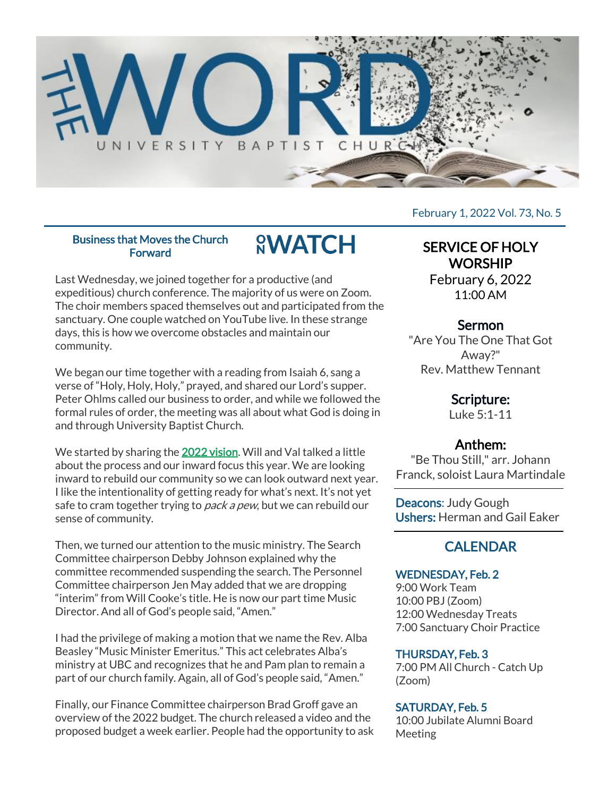

#### Business that Moves the Church **Forward**

**<u>SWATCH</u>** 

Last Wednesday, we joined together for a productive (and expeditious) church conference. The majority of us were on Zoom. The choir members spaced themselves out and participated from the sanctuary. One couple watched on YouTube live. In these strange days, this is how we overcome obstacles and maintain our community.

We began our time together with a reading from Isaiah 6, sang a verse of "Holy, Holy, Holy," prayed, and shared our Lord's supper. Peter Ohlms called our business to order, and while we followed the formal rules of order, the meeting was all about what God is doing in and through University Baptist Church.

We started by sharing the [2022 vision.](https://universitybaptist.org/wp-content/uploads/2022/01/2022-UBC-Goals.pdf) Will and Val talked a little about the process and our inward focus this year. We are looking inward to rebuild our community so we can look outward next year. I like the intentionality of getting ready for what's next. It's not yet safe to cram together trying to *pack a pew*, but we can rebuild our sense of community.

Then, we turned our attention to the music ministry. The Search Committee chairperson Debby Johnson explained why the committee recommended suspending the search. The Personnel Committee chairperson Jen May added that we are dropping "interim" from Will Cooke's title. He is now our part time Music Director. And all of God's people said, "Amen."

I had the privilege of making a motion that we name the Rev. Alba Beasley "Music Minister Emeritus." This act celebrates Alba's ministry at UBC and recognizes that he and Pam plan to remain a part of our church family. Again, all of God's people said, "Amen."

Finally, our Finance Committee chairperson Brad Groff gave an overview of the 2022 budget. The church released a video and the proposed budget a week earlier. People had the opportunity to ask February 1, 2022 Vol. 73, No. 5

# SERVICE OF HOLY **WORSHIP**

February 6, 2022 11:00 AM

# Sermon

"Are You The One That Got Away?" Rev. Matthew Tennant

# Scripture:

Luke 5:1-11

# Anthem:

"Be Thou Still," arr. Johann Franck, soloist Laura Martindale

Deacons: Judy Gough Ushers: Herman and Gail Eaker

# **CALENDAR**

#### WEDNESDAY, Feb. 2

9:00 Work Team 10:00 PBJ (Zoom) 12:00 Wednesday Treats 7:00 Sanctuary Choir Practice

#### THURSDAY, Feb. 3

7:00 PM All Church - Catch Up (Zoom)

## SATURDAY, Feb. 5

10:00 Jubilate Alumni Board Meeting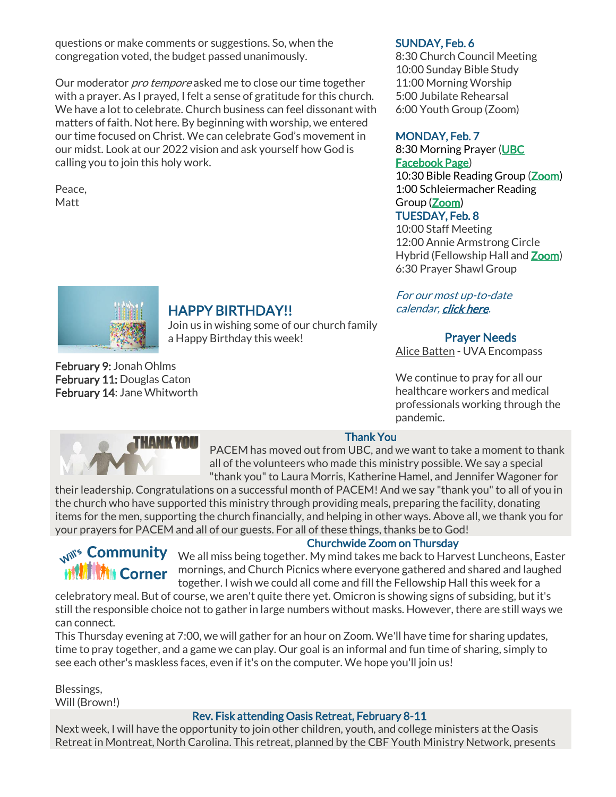questions or make comments or suggestions. So, when the congregation voted, the budget passed unanimously.

Our moderator *pro tempore* asked me to close our time together with a prayer. As I prayed, I felt a sense of gratitude for this church. We have a lot to celebrate. Church business can feel dissonant with matters of faith. Not here. By beginning with worship, we entered our time focused on Christ. We can celebrate God's movement in our midst. Look at our 2022 vision and ask yourself how God is calling you to join this holy work.

Peace, Matt

#### SUNDAY, Feb. 6

8:30 Church Council Meeting 10:00 Sunday Bible Study 11:00 Morning Worship 5:00 Jubilate Rehearsal 6:00 Youth Group (Zoom)

### MONDAY, Feb. 7

8:30 Morning Prayer [\(UBC](https://www.facebook.com/UniversityBaptistChurchCharlottesville) [Facebook Page\)](https://www.facebook.com/UniversityBaptistChurchCharlottesville) 10:30 Bible Reading Group [\(Zoom\)](https://us02web.zoom.us/j/85381408096?pwd=MzdkVG9JZ2x0M2JFK01KNlNjSWtqUT09) 1:00 Schleiermacher Reading Group [\(Zoom\)](https://www.google.com/url?q=https://us02web.zoom.us/j/81517569164?pwd%3DcVB3am9iK0lBaUNic3d1TEltM3lNdz09&sa=D&source=calendar&ust=1644068858792365&usg=AOvVaw144jVTZ8-vRYGieCq1kEmg) TUESDAY, Feb. 8

10:00 Staff Meeting 12:00 Annie Armstrong Circle Hybrid (Fellowship Hall and [Zoom\)](https://www.google.com/url?q=https://us02web.zoom.us/j/82616993684?pwd%3DTmNiUXRmNllQOFgxMnFaYmI4S1RxUT09&sa=D&source=calendar&ust=1644068858792365&usg=AOvVaw1IuyIHr9OUUi209UwDWKWq) 6:30 Prayer Shawl Group

#### For our most up-to-date calendar, [click here.](https://universitybaptist.org/calendar/)

#### Prayer Needs

Alice Batten - UVA Encompass

We continue to pray for all our healthcare workers and medical professionals working through the pandemic.



# HAPPY BIRTHDAY!!

Join us in wishing some of our church family a Happy Birthday this week!

February 9: Jonah Ohlms February 11: Douglas Caton February 14: Jane Whitworth



#### Thank You

PACEM has moved out from UBC, and we want to take a moment to thank all of the volunteers who made this ministry possible. We say a special "thank you" to Laura Morris, Katherine Hamel, and Jennifer Wagoner for

their leadership. Congratulations on a successful month of PACEM! And we say "thank you" to all of you in the church who have supported this ministry through providing meals, preparing the facility, donating items for the men, supporting the church financially, and helping in other ways. Above all, we thank you for your prayers for PACEM and all of our guests. For all of these things, thanks be to God!

#### Churchwide Zoom on Thursday

We all miss being together. My mind takes me back to Harvest Luncheons, Easter (Nuncheons, Easter **MORE AND COMBUT AND MILE SHOW MORE COMBUTER** in Company of the Company of the Company of the Company of the Company of the Company of the Company of the Company of the Company of the Company of the Company of the Company together. I wish we could all come and fill the Fellowship Hall this week for a

celebratory meal. But of course, we aren't quite there yet. Omicron is showing signs of subsiding, but it's still the responsible choice not to gather in large numbers without masks. However, there are still ways we can connect.

This Thursday evening at 7:00, we will gather for an hour on Zoom. We'll have time for sharing updates, time to pray together, and a game we can play. Our goal is an informal and fun time of sharing, simply to see each other's maskless faces, even if it's on the computer. We hope you'll join us!

Blessings, Will (Brown!)

#### Rev. Fisk attending Oasis Retreat, February 8-11

Next week, I will have the opportunity to join other children, youth, and college ministers at the Oasis Retreat in Montreat, North Carolina. This retreat, planned by the CBF Youth Ministry Network, presents